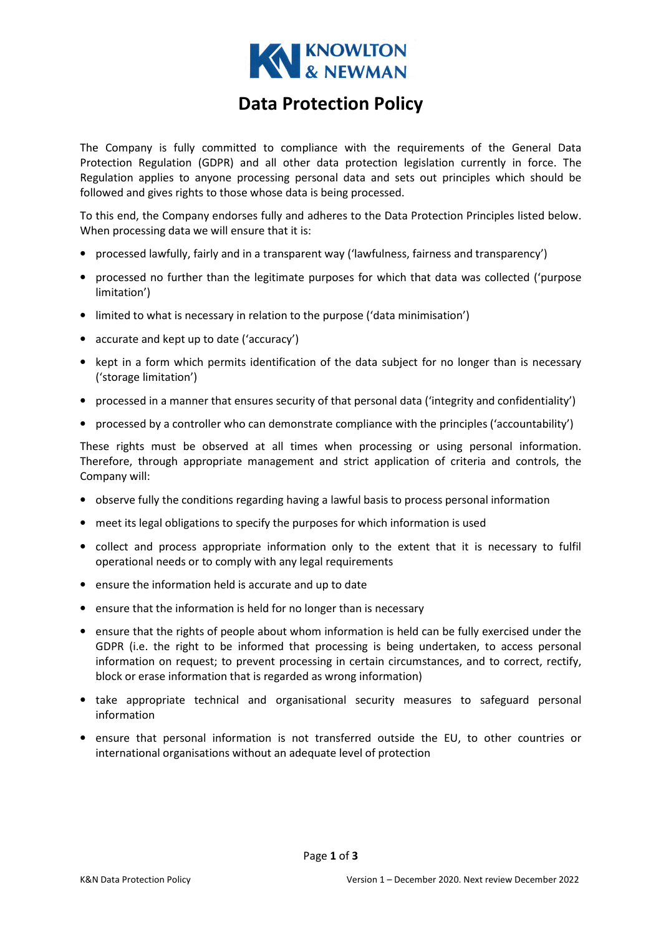

# Data Protection Policy

The Company is fully committed to compliance with the requirements of the General Data Protection Regulation (GDPR) and all other data protection legislation currently in force. The Regulation applies to anyone processing personal data and sets out principles which should be followed and gives rights to those whose data is being processed.

To this end, the Company endorses fully and adheres to the Data Protection Principles listed below. When processing data we will ensure that it is:

- processed lawfully, fairly and in a transparent way ('lawfulness, fairness and transparency')
- processed no further than the legitimate purposes for which that data was collected ('purpose limitation')
- limited to what is necessary in relation to the purpose ('data minimisation')
- accurate and kept up to date ('accuracy')
- kept in a form which permits identification of the data subject for no longer than is necessary ('storage limitation')
- processed in a manner that ensures security of that personal data ('integrity and confidentiality')
- processed by a controller who can demonstrate compliance with the principles ('accountability')

These rights must be observed at all times when processing or using personal information. Therefore, through appropriate management and strict application of criteria and controls, the Company will:

- observe fully the conditions regarding having a lawful basis to process personal information
- meet its legal obligations to specify the purposes for which information is used
- collect and process appropriate information only to the extent that it is necessary to fulfil operational needs or to comply with any legal requirements
- ensure the information held is accurate and up to date
- ensure that the information is held for no longer than is necessary
- ensure that the rights of people about whom information is held can be fully exercised under the GDPR (i.e. the right to be informed that processing is being undertaken, to access personal information on request; to prevent processing in certain circumstances, and to correct, rectify, block or erase information that is regarded as wrong information)
- take appropriate technical and organisational security measures to safeguard personal information
- ensure that personal information is not transferred outside the EU, to other countries or international organisations without an adequate level of protection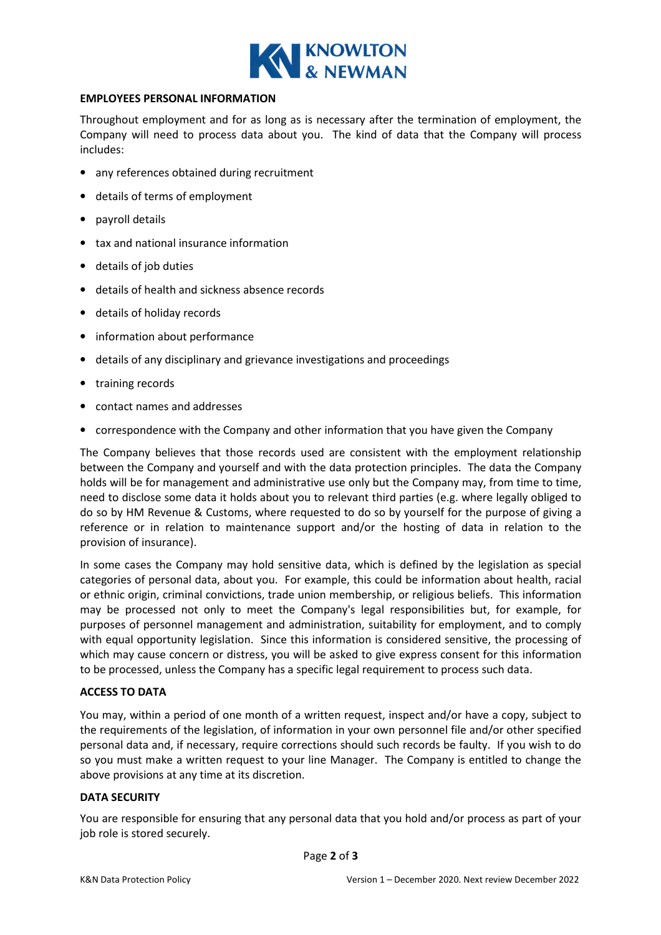

#### EMPLOYEES PERSONAL INFORMATION

Throughout employment and for as long as is necessary after the termination of employment, the Company will need to process data about you. The kind of data that the Company will process includes:

- any references obtained during recruitment
- details of terms of employment
- payroll details
- tax and national insurance information
- details of job duties
- details of health and sickness absence records
- details of holiday records
- information about performance
- details of any disciplinary and grievance investigations and proceedings
- training records
- contact names and addresses
- correspondence with the Company and other information that you have given the Company

The Company believes that those records used are consistent with the employment relationship between the Company and yourself and with the data protection principles. The data the Company holds will be for management and administrative use only but the Company may, from time to time, need to disclose some data it holds about you to relevant third parties (e.g. where legally obliged to do so by HM Revenue & Customs, where requested to do so by yourself for the purpose of giving a reference or in relation to maintenance support and/or the hosting of data in relation to the provision of insurance).

In some cases the Company may hold sensitive data, which is defined by the legislation as special categories of personal data, about you. For example, this could be information about health, racial or ethnic origin, criminal convictions, trade union membership, or religious beliefs. This information may be processed not only to meet the Company's legal responsibilities but, for example, for purposes of personnel management and administration, suitability for employment, and to comply with equal opportunity legislation. Since this information is considered sensitive, the processing of which may cause concern or distress, you will be asked to give express consent for this information to be processed, unless the Company has a specific legal requirement to process such data.

## ACCESS TO DATA

You may, within a period of one month of a written request, inspect and/or have a copy, subject to the requirements of the legislation, of information in your own personnel file and/or other specified personal data and, if necessary, require corrections should such records be faulty. If you wish to do so you must make a written request to your line Manager. The Company is entitled to change the above provisions at any time at its discretion.

## DATA SECURITY

You are responsible for ensuring that any personal data that you hold and/or process as part of your job role is stored securely.